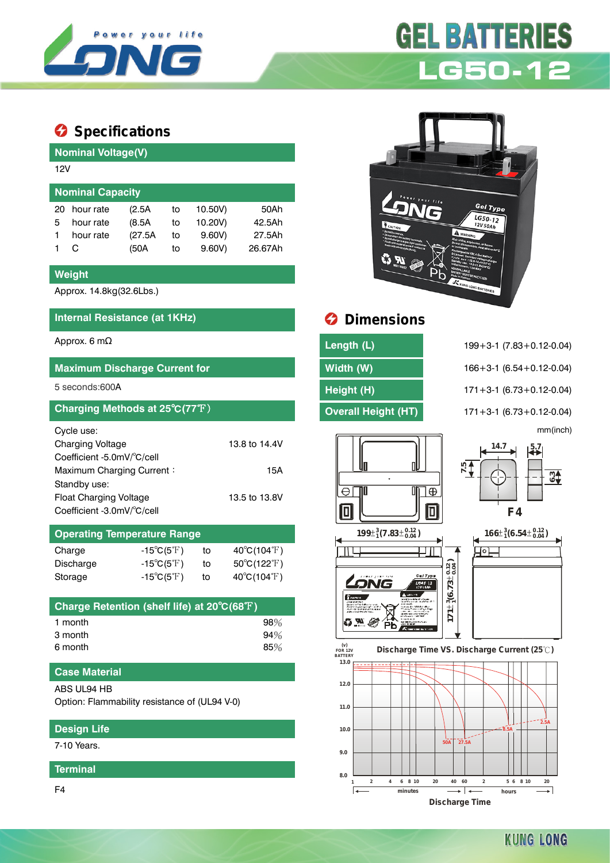

# **Specifications**

| <b>Nominal Voltage(V)</b> |         |    |         |         |  |  |  |  |
|---------------------------|---------|----|---------|---------|--|--|--|--|
| 12V                       |         |    |         |         |  |  |  |  |
| <b>Nominal Capacity</b>   |         |    |         |         |  |  |  |  |
| hour rate                 | (2.5A   | to | 10.50V) | 50Ah    |  |  |  |  |
| hour rate                 | (8.5A)  | to | 10.20V) | 42.5Ah  |  |  |  |  |
| hour rate                 | (27.5A) | to | 9.60V   | 27.5Ah  |  |  |  |  |
| C.                        | (50A    | to | 9.60V   | 26.67Ah |  |  |  |  |
|                           |         |    |         |         |  |  |  |  |

### **Weight**

Approx. 14.8kg(32.6Lbs.)

# **Internal Resistance (at 1KHz) Dimensions**

| <b>Maximum Discharge Current for</b>           |                                    |                             |                                  |  |  |  |  |  |  |
|------------------------------------------------|------------------------------------|-----------------------------|----------------------------------|--|--|--|--|--|--|
| 5 seconds:600A                                 |                                    |                             |                                  |  |  |  |  |  |  |
| Charging Methods at 25°C(77°F)                 |                                    |                             |                                  |  |  |  |  |  |  |
| Cycle use:                                     |                                    |                             |                                  |  |  |  |  |  |  |
| <b>Charging Voltage</b>                        |                                    |                             | 13.8 to 14.4V                    |  |  |  |  |  |  |
| Coefficient -5.0mV/°C/cell                     |                                    |                             |                                  |  |  |  |  |  |  |
| Maximum Charging Current:<br>15A               |                                    |                             |                                  |  |  |  |  |  |  |
| Standby use:                                   |                                    |                             |                                  |  |  |  |  |  |  |
| <b>Float Charging Voltage</b><br>13.5 to 13.8V |                                    |                             |                                  |  |  |  |  |  |  |
| Coefficient -3.0mV/°C/cell                     |                                    |                             |                                  |  |  |  |  |  |  |
|                                                | <b>Operating Temperature Range</b> |                             |                                  |  |  |  |  |  |  |
| Charge                                         | -15°C(5°F)                         | to                          | $40^{\circ}$ C(104 $^{\circ}$ F) |  |  |  |  |  |  |
| Discharge                                      | $-15^{\circ}C(5^{\circ}F)$         | to                          | $50^{\circ}$ C(122 $^{\circ}$ F) |  |  |  |  |  |  |
| Storage                                        | to                                 | $40^{\circ}C(104^{\circ}F)$ |                                  |  |  |  |  |  |  |

| Charge Retention (shelf life) at 20°C(68°F) |     |
|---------------------------------------------|-----|
| 1 month                                     | 98% |
| 3 month                                     | 94% |
| 6 month                                     | 85% |

## **Case Material**

#### ABS UL94 HB

Option: Flammability resistance of (UL94 V-0)

# **Design Life**

7-10 Years.

#### **Terminal**

F4



**LG50-12**

**GEL BATTER** 

| Approx. 6 mΩ                         | Length (L)                 | $199 + 3 - 1$ (7.83 + 0.12 - 0.04) |
|--------------------------------------|----------------------------|------------------------------------|
| <b>Maximum Discharge Current for</b> | Width (W)                  | $166 + 3 - 1$ (6.54 + 0.12 - 0.04) |
| 5 seconds:600A                       | Height (H)                 | $171 + 3 - 1$ (6.73 + 0.12 - 0.04) |
| Charging Methods at 25°C(77°F)       | <b>Overall Height (HT)</b> | $171 + 3 - 1$ (6.73 + 0.12 - 0.04) |

mm(inch)











**KUNG LONG**